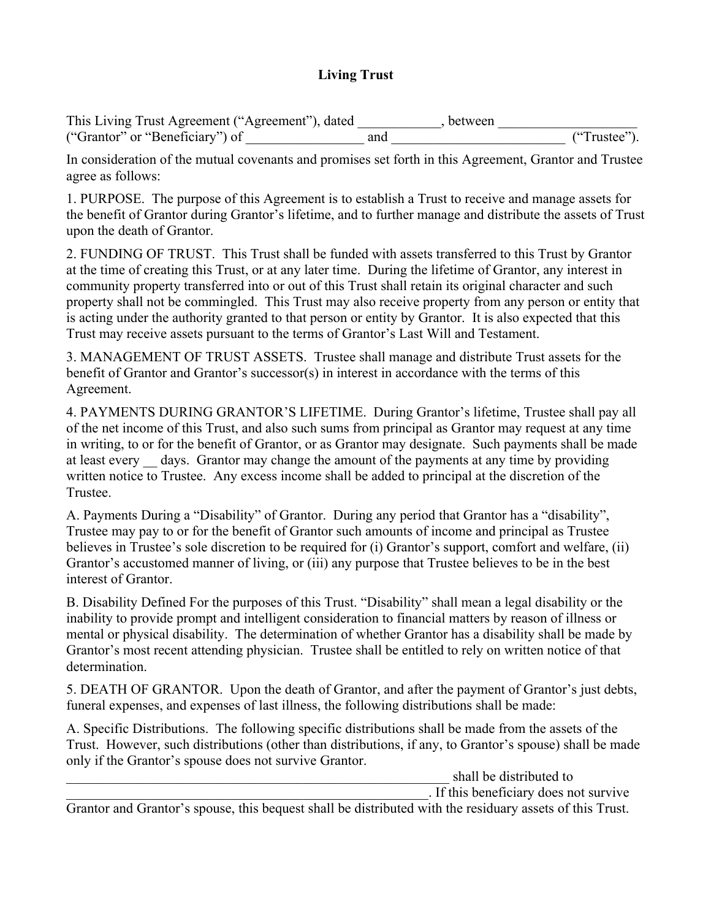## **Living Trust**

This Living Trust Agreement ("Agreement"), dated \_\_\_\_\_\_\_\_\_, between ("Grantor" or "Beneficiary") of \_\_\_\_\_\_\_\_\_\_\_\_\_\_\_\_\_ and \_\_\_\_\_\_\_\_\_\_\_\_\_\_\_\_\_\_\_\_\_\_\_\_\_ ("Trustee").

In consideration of the mutual covenants and promises set forth in this Agreement, Grantor and Trustee agree as follows:

1. PURPOSE. The purpose of this Agreement is to establish a Trust to receive and manage assets for the benefit of Grantor during Grantor's lifetime, and to further manage and distribute the assets of Trust upon the death of Grantor.

2. FUNDING OF TRUST. This Trust shall be funded with assets transferred to this Trust by Grantor at the time of creating this Trust, or at any later time. During the lifetime of Grantor, any interest in community property transferred into or out of this Trust shall retain its original character and such property shall not be commingled. This Trust may also receive property from any person or entity that is acting under the authority granted to that person or entity by Grantor. It is also expected that this Trust may receive assets pursuant to the terms of Grantor's Last Will and Testament.

3. MANAGEMENT OF TRUST ASSETS. Trustee shall manage and distribute Trust assets for the benefit of Grantor and Grantor's successor(s) in interest in accordance with the terms of this Agreement.

4. PAYMENTS DURING GRANTOR'S LIFETIME. During Grantor's lifetime, Trustee shall pay all of the net income of this Trust, and also such sums from principal as Grantor may request at any time in writing, to or for the benefit of Grantor, or as Grantor may designate. Such payments shall be made at least every days. Grantor may change the amount of the payments at any time by providing written notice to Trustee. Any excess income shall be added to principal at the discretion of the Trustee.

A. Payments During a "Disability" of Grantor. During any period that Grantor has a "disability", Trustee may pay to or for the benefit of Grantor such amounts of income and principal as Trustee believes in Trustee's sole discretion to be required for (i) Grantor's support, comfort and welfare, (ii) Grantor's accustomed manner of living, or (iii) any purpose that Trustee believes to be in the best interest of Grantor.

B. Disability Defined For the purposes of this Trust. "Disability" shall mean a legal disability or the inability to provide prompt and intelligent consideration to financial matters by reason of illness or mental or physical disability. The determination of whether Grantor has a disability shall be made by Grantor's most recent attending physician. Trustee shall be entitled to rely on written notice of that determination.

5. DEATH OF GRANTOR. Upon the death of Grantor, and after the payment of Grantor's just debts, funeral expenses, and expenses of last illness, the following distributions shall be made:

A. Specific Distributions. The following specific distributions shall be made from the assets of the Trust. However, such distributions (other than distributions, if any, to Grantor's spouse) shall be made only if the Grantor's spouse does not survive Grantor.

\_\_\_\_\_\_\_\_\_\_\_\_\_\_\_\_\_\_\_\_\_\_\_\_\_\_\_\_\_\_\_\_\_\_\_\_\_\_\_\_\_\_\_\_\_\_\_\_\_\_\_\_\_\_\_ shall be distributed to

\_\_\_\_\_\_\_\_\_\_\_\_\_\_\_\_\_\_\_\_\_\_\_\_\_\_\_\_\_\_\_\_\_\_\_\_\_\_\_\_\_\_\_\_\_\_\_\_\_\_\_\_. If this beneficiary does not survive

Grantor and Grantor's spouse, this bequest shall be distributed with the residuary assets of this Trust.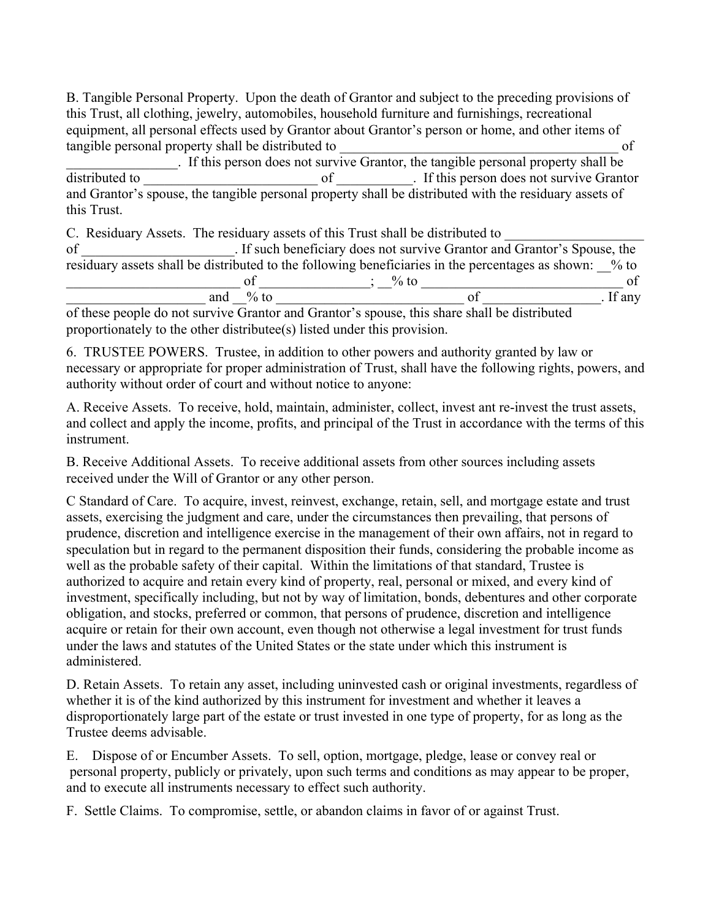B. Tangible Personal Property. Upon the death of Grantor and subject to the preceding provisions of this Trust, all clothing, jewelry, automobiles, household furniture and furnishings, recreational equipment, all personal effects used by Grantor about Grantor's person or home, and other items of tangible personal property shall be distributed to  $\sigma$ 

If this person does not survive Grantor, the tangible personal property shall be distributed to of flist person does not survive Grant  $\sigma$  of  $\sigma$  is this person does not survive Grantor and Grantor's spouse, the tangible personal property shall be distributed with the residuary assets of this Trust.

C. Residuary Assets. The residuary assets of this Trust shall be distributed to of \_\_\_\_\_\_\_\_\_\_\_\_\_\_\_\_\_\_\_\_\_\_. If such beneficiary does not survive Grantor and Grantor's Spouse, the residuary assets shall be distributed to the following beneficiaries in the percentages as shown: \_\_% to \_\_\_\_\_\_\_\_\_\_\_\_\_\_\_\_\_\_\_\_\_\_\_\_\_ of \_\_\_\_\_\_\_\_\_\_\_\_\_\_\_\_; \_\_% to \_\_\_\_\_\_\_\_\_\_\_\_\_\_\_\_\_\_\_\_\_\_\_\_\_\_\_\_\_ of  $\text{and} \_\_\%$  to  $\_\text{of}$   $\_\text{of}$   $\_\text{If any}$ 

of these people do not survive Grantor and Grantor's spouse, this share shall be distributed proportionately to the other distributee(s) listed under this provision.

6. TRUSTEE POWERS. Trustee, in addition to other powers and authority granted by law or necessary or appropriate for proper administration of Trust, shall have the following rights, powers, and authority without order of court and without notice to anyone:

A. Receive Assets. To receive, hold, maintain, administer, collect, invest ant re-invest the trust assets, and collect and apply the income, profits, and principal of the Trust in accordance with the terms of this instrument.

B. Receive Additional Assets. To receive additional assets from other sources including assets received under the Will of Grantor or any other person.

C Standard of Care. To acquire, invest, reinvest, exchange, retain, sell, and mortgage estate and trust assets, exercising the judgment and care, under the circumstances then prevailing, that persons of prudence, discretion and intelligence exercise in the management of their own affairs, not in regard to speculation but in regard to the permanent disposition their funds, considering the probable income as well as the probable safety of their capital. Within the limitations of that standard, Trustee is authorized to acquire and retain every kind of property, real, personal or mixed, and every kind of investment, specifically including, but not by way of limitation, bonds, debentures and other corporate obligation, and stocks, preferred or common, that persons of prudence, discretion and intelligence acquire or retain for their own account, even though not otherwise a legal investment for trust funds under the laws and statutes of the United States or the state under which this instrument is administered.

D. Retain Assets. To retain any asset, including uninvested cash or original investments, regardless of whether it is of the kind authorized by this instrument for investment and whether it leaves a disproportionately large part of the estate or trust invested in one type of property, for as long as the Trustee deems advisable.

E. Dispose of or Encumber Assets. To sell, option, mortgage, pledge, lease or convey real or personal property, publicly or privately, upon such terms and conditions as may appear to be proper, and to execute all instruments necessary to effect such authority.

F. Settle Claims. To compromise, settle, or abandon claims in favor of or against Trust.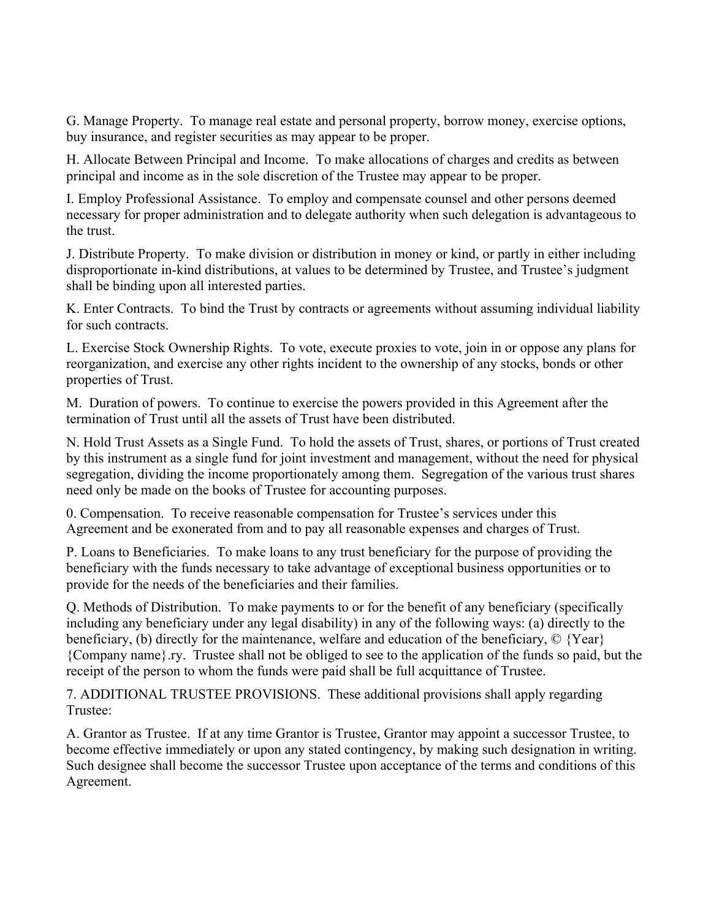G. Manage Property. To manage real estate and personal property, borrow money, exercise options, buy insurance, and register securities as may appear to be proper.

H. Allocate Between Principal and Income. To make allocations of charges and credits as between principal and income as in the sole discretion of the Trustee may appear to be proper.

I. Employ Professional Assistance. To employ and compensate counsel and other persons deemed necessary for proper administration and to delegate authority when such delegation is advantageous to the trust.

J. Distribute Property. To make division or distribution in money or kind, or partly in either including disproportionate in-kind distributions, at values to be determined by Trustee, and Trustee's judgment shall be binding upon all interested parties.

K. Enter Contracts. To bind the Trust by contracts or agreements without assuming individual liability for such contracts.

L. Exercise Stock Ownership Rights. To vote, execute proxies to vote, join in or oppose any plans for reorganization, and exercise any other rights incident to the ownership of any stocks, bonds or other properties of Trust.

M. Duration of powers. To continue to exercise the powers provided in this Agreement after the termination of Trust until all the assets of Trust have been distributed.

N. Hold Trust Assets as a Single Fund. To hold the assets of Trust, shares, or portions of Trust created by this instrument as a single fund for joint investment and management, without the need for physical segregation, dividing the income proportionately among them. Segregation of the various trust shares need only be made on the books of Trustee for accounting purposes.

0. Compensation. To receive reasonable compensation for Trustee's services under this Agreement and be exonerated from and to pay all reasonable expenses and charges of Trust.

P. Loans to Beneficiaries. To make loans to any trust beneficiary for the purpose of providing the beneficiary with the funds necessary to take advantage of exceptional business opportunities or to provide for the needs of the beneficiaries and their families.

Q. Methods of Distribution. To make payments to or for the benefit of any beneficiary (specifically including any beneficiary under any legal disability) in any of the following ways: (a) directly to the beneficiary, (b) directly for the maintenance, welfare and education of the beneficiary, © {Year} {Company name}.ry. Trustee shall not be obliged to see to the application of the funds so paid, but the receipt of the person to whom the funds were paid shall be full acquittance of Trustee.

7. ADDITIONAL TRUSTEE PROVISIONS. These additional provisions shall apply regarding Trustee:

A. Grantor as Trustee. If at any time Grantor is Trustee, Grantor may appoint a successor Trustee, to become effective immediately or upon any stated contingency, by making such designation in writing. Such designee shall become the successor Trustee upon acceptance of the terms and conditions of this Agreement.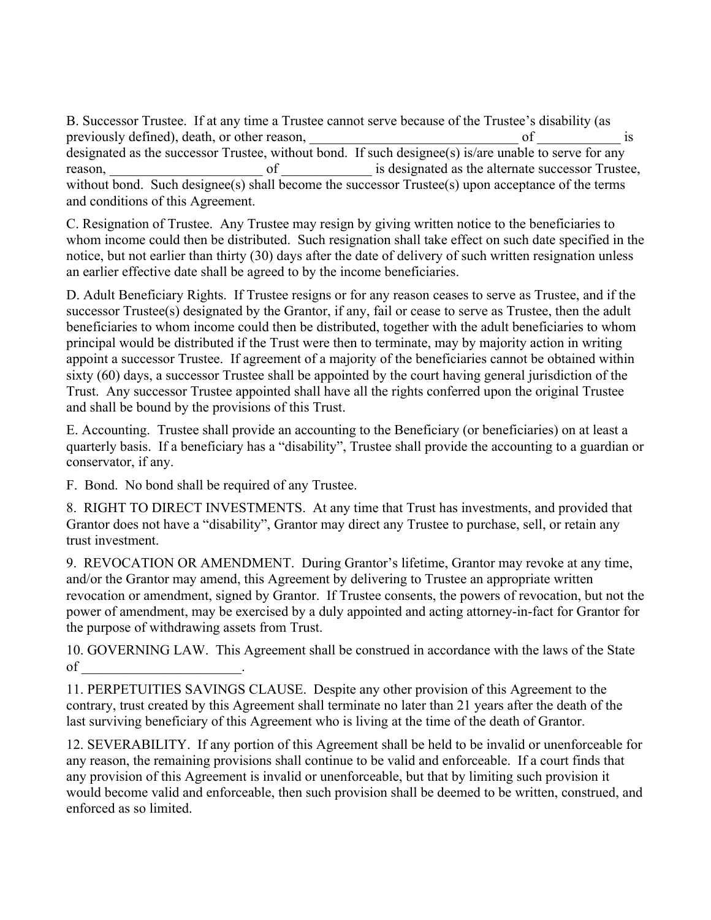B. Successor Trustee. If at any time a Trustee cannot serve because of the Trustee's disability (as previously defined), death, or other reason,  $\Box$  of  $\Box$  is designated as the successor Trustee, without bond. If such designee(s) is/are unable to serve for any reason, the contract of the contract of the successor of the successor Trustee, the alternate successor Trustee, without bond. Such designee(s) shall become the successor Trustee(s) upon acceptance of the terms and conditions of this Agreement.

C. Resignation of Trustee. Any Trustee may resign by giving written notice to the beneficiaries to whom income could then be distributed. Such resignation shall take effect on such date specified in the notice, but not earlier than thirty (30) days after the date of delivery of such written resignation unless an earlier effective date shall be agreed to by the income beneficiaries.

D. Adult Beneficiary Rights. If Trustee resigns or for any reason ceases to serve as Trustee, and if the successor Trustee(s) designated by the Grantor, if any, fail or cease to serve as Trustee, then the adult beneficiaries to whom income could then be distributed, together with the adult beneficiaries to whom principal would be distributed if the Trust were then to terminate, may by majority action in writing appoint a successor Trustee. If agreement of a majority of the beneficiaries cannot be obtained within sixty (60) days, a successor Trustee shall be appointed by the court having general jurisdiction of the Trust. Any successor Trustee appointed shall have all the rights conferred upon the original Trustee and shall be bound by the provisions of this Trust.

E. Accounting. Trustee shall provide an accounting to the Beneficiary (or beneficiaries) on at least a quarterly basis. If a beneficiary has a "disability", Trustee shall provide the accounting to a guardian or conservator, if any.

F. Bond. No bond shall be required of any Trustee.

8. RIGHT TO DIRECT INVESTMENTS. At any time that Trust has investments, and provided that Grantor does not have a "disability", Grantor may direct any Trustee to purchase, sell, or retain any trust investment.

9. REVOCATION OR AMENDMENT. During Grantor's lifetime, Grantor may revoke at any time, and/or the Grantor may amend, this Agreement by delivering to Trustee an appropriate written revocation or amendment, signed by Grantor. If Trustee consents, the powers of revocation, but not the power of amendment, may be exercised by a duly appointed and acting attorney-in-fact for Grantor for the purpose of withdrawing assets from Trust.

10. GOVERNING LAW. This Agreement shall be construed in accordance with the laws of the State of \_\_\_\_\_\_\_\_\_\_\_\_\_\_\_\_\_\_\_\_\_\_\_.

11. PERPETUITIES SAVINGS CLAUSE. Despite any other provision of this Agreement to the contrary, trust created by this Agreement shall terminate no later than 21 years after the death of the last surviving beneficiary of this Agreement who is living at the time of the death of Grantor.

12. SEVERABILITY. If any portion of this Agreement shall be held to be invalid or unenforceable for any reason, the remaining provisions shall continue to be valid and enforceable. If a court finds that any provision of this Agreement is invalid or unenforceable, but that by limiting such provision it would become valid and enforceable, then such provision shall be deemed to be written, construed, and enforced as so limited.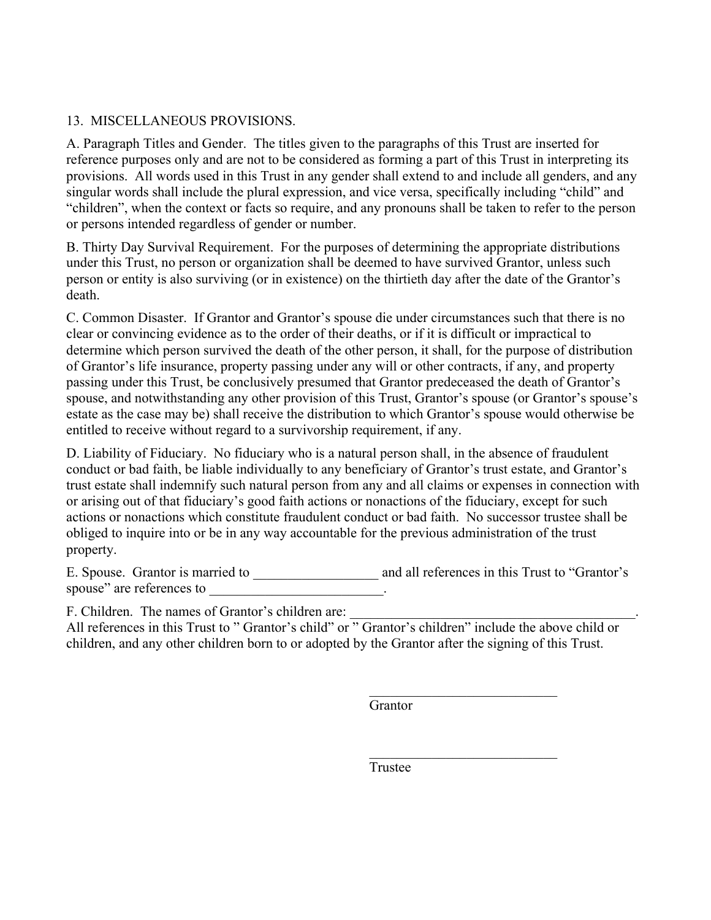## 13. MISCELLANEOUS PROVISIONS.

A. Paragraph Titles and Gender. The titles given to the paragraphs of this Trust are inserted for reference purposes only and are not to be considered as forming a part of this Trust in interpreting its provisions. All words used in this Trust in any gender shall extend to and include all genders, and any singular words shall include the plural expression, and vice versa, specifically including "child" and "children", when the context or facts so require, and any pronouns shall be taken to refer to the person or persons intended regardless of gender or number.

B. Thirty Day Survival Requirement. For the purposes of determining the appropriate distributions under this Trust, no person or organization shall be deemed to have survived Grantor, unless such person or entity is also surviving (or in existence) on the thirtieth day after the date of the Grantor's death.

C. Common Disaster. If Grantor and Grantor's spouse die under circumstances such that there is no clear or convincing evidence as to the order of their deaths, or if it is difficult or impractical to determine which person survived the death of the other person, it shall, for the purpose of distribution of Grantor's life insurance, property passing under any will or other contracts, if any, and property passing under this Trust, be conclusively presumed that Grantor predeceased the death of Grantor's spouse, and notwithstanding any other provision of this Trust, Grantor's spouse (or Grantor's spouse's estate as the case may be) shall receive the distribution to which Grantor's spouse would otherwise be entitled to receive without regard to a survivorship requirement, if any.

D. Liability of Fiduciary. No fiduciary who is a natural person shall, in the absence of fraudulent conduct or bad faith, be liable individually to any beneficiary of Grantor's trust estate, and Grantor's trust estate shall indemnify such natural person from any and all claims or expenses in connection with or arising out of that fiduciary's good faith actions or nonactions of the fiduciary, except for such actions or nonactions which constitute fraudulent conduct or bad faith. No successor trustee shall be obliged to inquire into or be in any way accountable for the previous administration of the trust property.

E. Spouse. Grantor is married to \_\_\_\_\_\_\_\_\_\_\_\_\_\_\_\_\_\_\_\_\_\_ and all references in this Trust to "Grantor's spouse" are references to

F. Children. The names of Grantor's children are:

All references in this Trust to " Grantor's child" or " Grantor's children" include the above child or children, and any other children born to or adopted by the Grantor after the signing of this Trust.

 $\mathcal{L}_\text{max}$  and  $\mathcal{L}_\text{max}$  and  $\mathcal{L}_\text{max}$  and  $\mathcal{L}_\text{max}$  and  $\mathcal{L}_\text{max}$  and  $\mathcal{L}_\text{max}$ 

 $\mathcal{L}_\text{max}$  and  $\mathcal{L}_\text{max}$  and  $\mathcal{L}_\text{max}$  and  $\mathcal{L}_\text{max}$  and  $\mathcal{L}_\text{max}$ 

Grantor

Trustee